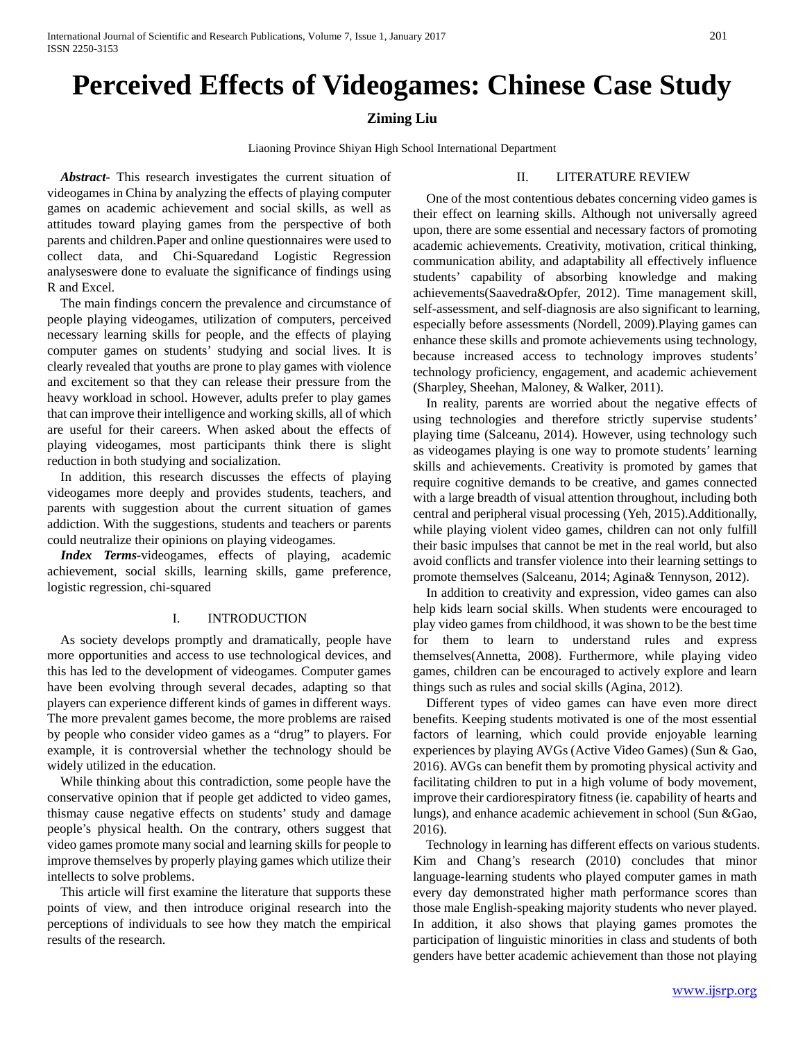# **Perceived Effects of Videogames: Chinese Case Study**

# **Ziming Liu**

Liaoning Province Shiyan High School International Department

*Abstract-* This research investigates the current situation of videogames in China by analyzing the effects of playing computer games on academic achievement and social skills, as well as attitudes toward playing games from the perspective of both parents and children.Paper and online questionnaires were used to collect data, and Chi-Squaredand Logistic Regression analyseswere done to evaluate the significance of findings using R and Excel.

The main findings concern the prevalence and circumstance of people playing videogames, utilization of computers, perceived necessary learning skills for people, and the effects of playing computer games on students' studying and social lives. It is clearly revealed that youths are prone to play games with violence and excitement so that they can release their pressure from the heavy workload in school. However, adults prefer to play games that can improve their intelligence and working skills, all of which are useful for their careers. When asked about the effects of playing videogames, most participants think there is slight reduction in both studying and socialization.

In addition, this research discusses the effects of playing videogames more deeply and provides students, teachers, and parents with suggestion about the current situation of games addiction. With the suggestions, students and teachers or parents could neutralize their opinions on playing videogames.

*Index Terms-*videogames, effects of playing, academic achievement, social skills, learning skills, game preference, logistic regression, chi-squared

# I. INTRODUCTION

As society develops promptly and dramatically, people have more opportunities and access to use technological devices, and this has led to the development of videogames. Computer games have been evolving through several decades, adapting so that players can experience different kinds of games in different ways. The more prevalent games become, the more problems are raised by people who consider video games as a "drug" to players. For example, it is controversial whether the technology should be widely utilized in the education.

While thinking about this contradiction, some people have the conservative opinion that if people get addicted to video games, thismay cause negative effects on students' study and damage people's physical health. On the contrary, others suggest that video games promote many social and learning skills for people to improve themselves by properly playing games which utilize their intellects to solve problems.

This article will first examine the literature that supports these points of view, and then introduce original research into the perceptions of individuals to see how they match the empirical results of the research.

## II. LITERATURE REVIEW

One of the most contentious debates concerning video games is their effect on learning skills. Although not universally agreed upon, there are some essential and necessary factors of promoting academic achievements. Creativity, motivation, critical thinking, communication ability, and adaptability all effectively influence students' capability of absorbing knowledge and making achievements(Saavedra&Opfer, 2012). Time management skill, self-assessment, and self-diagnosis are also significant to learning, especially before assessments (Nordell, 2009).Playing games can enhance these skills and promote achievements using technology, because increased access to technology improves students' technology proficiency, engagement, and academic achievement (Sharpley, Sheehan, Maloney, & Walker, 2011).

In reality, parents are worried about the negative effects of using technologies and therefore strictly supervise students' playing time (Salceanu, 2014). However, using technology such as videogames playing is one way to promote students' learning skills and achievements. Creativity is promoted by games that require cognitive demands to be creative, and games connected with a large breadth of visual attention throughout, including both central and peripheral visual processing (Yeh, 2015).Additionally, while playing violent video games, children can not only fulfill their basic impulses that cannot be met in the real world, but also avoid conflicts and transfer violence into their learning settings to promote themselves (Salceanu, 2014; Agina& Tennyson, 2012).

In addition to creativity and expression, video games can also help kids learn social skills. When students were encouraged to play video games from childhood, it was shown to be the best time for them to learn to understand rules and express themselves(Annetta, 2008). Furthermore, while playing video games, children can be encouraged to actively explore and learn things such as rules and social skills (Agina, 2012).

Different types of video games can have even more direct benefits. Keeping students motivated is one of the most essential factors of learning, which could provide enjoyable learning experiences by playing AVGs (Active Video Games) (Sun & Gao, 2016). AVGs can benefit them by promoting physical activity and facilitating children to put in a high volume of body movement, improve their cardiorespiratory fitness (ie. capability of hearts and lungs), and enhance academic achievement in school (Sun &Gao, 2016).

Technology in learning has different effects on various students. Kim and Chang's research (2010) concludes that minor language-learning students who played computer games in math every day demonstrated higher math performance scores than those male English-speaking majority students who never played. In addition, it also shows that playing games promotes the participation of linguistic minorities in class and students of both genders have better academic achievement than those not playing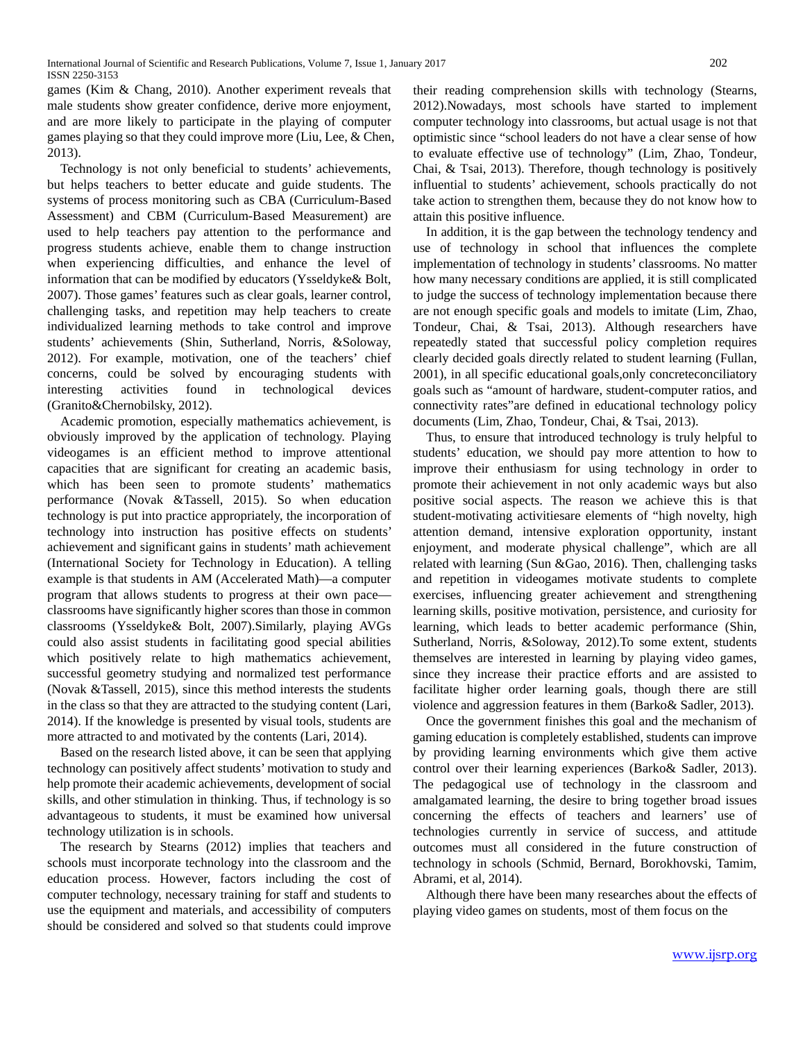International Journal of Scientific and Research Publications, Volume 7, Issue 1, January 2017 202 ISSN 2250-3153

games (Kim & Chang, 2010). Another experiment reveals that male students show greater confidence, derive more enjoyment, and are more likely to participate in the playing of computer games playing so that they could improve more (Liu, Lee, & Chen, 2013).

Technology is not only beneficial to students' achievements, but helps teachers to better educate and guide students. The systems of process monitoring such as CBA (Curriculum-Based Assessment) and CBM (Curriculum-Based Measurement) are used to help teachers pay attention to the performance and progress students achieve, enable them to change instruction when experiencing difficulties, and enhance the level of information that can be modified by educators (Ysseldyke& Bolt, 2007). Those games' features such as clear goals, learner control, challenging tasks, and repetition may help teachers to create individualized learning methods to take control and improve students' achievements (Shin, Sutherland, Norris, &Soloway, 2012). For example, motivation, one of the teachers' chief concerns, could be solved by encouraging students with interesting activities found in technological devices (Granito&Chernobilsky, 2012).

Academic promotion, especially mathematics achievement, is obviously improved by the application of technology. Playing videogames is an efficient method to improve attentional capacities that are significant for creating an academic basis, which has been seen to promote students' mathematics performance (Novak &Tassell, 2015). So when education technology is put into practice appropriately, the incorporation of technology into instruction has positive effects on students' achievement and significant gains in students' math achievement (International Society for Technology in Education). A telling example is that students in AM (Accelerated Math)—a computer program that allows students to progress at their own pace classrooms have significantly higher scores than those in common classrooms (Ysseldyke& Bolt, 2007).Similarly, playing AVGs could also assist students in facilitating good special abilities which positively relate to high mathematics achievement, successful geometry studying and normalized test performance (Novak &Tassell, 2015), since this method interests the students in the class so that they are attracted to the studying content (Lari, 2014). If the knowledge is presented by visual tools, students are more attracted to and motivated by the contents (Lari, 2014).

Based on the research listed above, it can be seen that applying technology can positively affect students' motivation to study and help promote their academic achievements, development of social skills, and other stimulation in thinking. Thus, if technology is so advantageous to students, it must be examined how universal technology utilization is in schools.

The research by Stearns (2012) implies that teachers and schools must incorporate technology into the classroom and the education process. However, factors including the cost of computer technology, necessary training for staff and students to use the equipment and materials, and accessibility of computers should be considered and solved so that students could improve

their reading comprehension skills with technology (Stearns, 2012).Nowadays, most schools have started to implement computer technology into classrooms, but actual usage is not that optimistic since "school leaders do not have a clear sense of how to evaluate effective use of technology" (Lim, Zhao, Tondeur, Chai, & Tsai, 2013). Therefore, though technology is positively influential to students' achievement, schools practically do not take action to strengthen them, because they do not know how to attain this positive influence.

In addition, it is the gap between the technology tendency and use of technology in school that influences the complete implementation of technology in students' classrooms. No matter how many necessary conditions are applied, it is still complicated to judge the success of technology implementation because there are not enough specific goals and models to imitate (Lim, Zhao, Tondeur, Chai, & Tsai, 2013). Although researchers have repeatedly stated that successful policy completion requires clearly decided goals directly related to student learning (Fullan, 2001), in all specific educational goals,only concreteconciliatory goals such as "amount of hardware, student-computer ratios, and connectivity rates"are defined in educational technology policy documents (Lim, Zhao, Tondeur, Chai, & Tsai, 2013).

Thus, to ensure that introduced technology is truly helpful to students' education, we should pay more attention to how to improve their enthusiasm for using technology in order to promote their achievement in not only academic ways but also positive social aspects. The reason we achieve this is that student-motivating activitiesare elements of "high novelty, high attention demand, intensive exploration opportunity, instant enjoyment, and moderate physical challenge", which are all related with learning (Sun &Gao, 2016). Then, challenging tasks and repetition in videogames motivate students to complete exercises, influencing greater achievement and strengthening learning skills, positive motivation, persistence, and curiosity for learning, which leads to better academic performance (Shin, Sutherland, Norris, &Soloway, 2012).To some extent, students themselves are interested in learning by playing video games, since they increase their practice efforts and are assisted to facilitate higher order learning goals, though there are still violence and aggression features in them (Barko& Sadler, 2013).

Once the government finishes this goal and the mechanism of gaming education is completely established, students can improve by providing learning environments which give them active control over their learning experiences (Barko& Sadler, 2013). The pedagogical use of technology in the classroom and amalgamated learning, the desire to bring together broad issues concerning the effects of teachers and learners' use of technologies currently in service of success, and attitude outcomes must all considered in the future construction of technology in schools (Schmid, Bernard, Borokhovski, Tamim, Abrami, et al, 2014).

Although there have been many researches about the effects of playing video games on students, most of them focus on the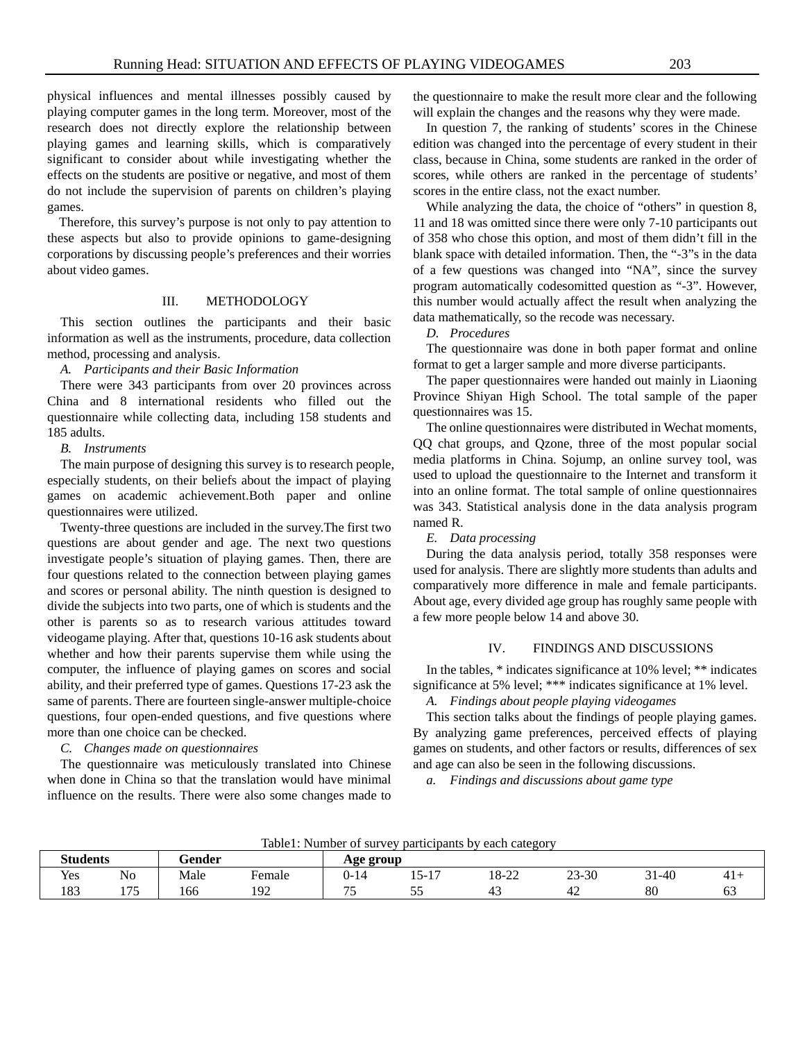physical influences and mental illnesses possibly caused by playing computer games in the long term. Moreover, most of the research does not directly explore the relationship between playing games and learning skills, which is comparatively significant to consider about while investigating whether the effects on the students are positive or negative, and most of them do not include the supervision of parents on children's playing games.

Therefore, this survey's purpose is not only to pay attention to these aspects but also to provide opinions to game-designing corporations by discussing people's preferences and their worries about video games.

# III. METHODOLOGY

This section outlines the participants and their basic information as well as the instruments, procedure, data collection method, processing and analysis.

*A. Participants and their Basic Information*

There were 343 participants from over 20 provinces across China and 8 international residents who filled out the questionnaire while collecting data, including 158 students and 185 adults.

#### *B. Instruments*

The main purpose of designing this survey is to research people, especially students, on their beliefs about the impact of playing games on academic achievement.Both paper and online questionnaires were utilized.

Twenty-three questions are included in the survey.The first two questions are about gender and age. The next two questions investigate people's situation of playing games. Then, there are four questions related to the connection between playing games and scores or personal ability. The ninth question is designed to divide the subjects into two parts, one of which is students and the other is parents so as to research various attitudes toward videogame playing. After that, questions 10-16 ask students about whether and how their parents supervise them while using the computer, the influence of playing games on scores and social ability, and their preferred type of games. Questions 17-23 ask the same of parents. There are fourteen single-answer multiple-choice questions, four open-ended questions, and five questions where more than one choice can be checked.

## *C. Changes made on questionnaires*

The questionnaire was meticulously translated into Chinese when done in China so that the translation would have minimal influence on the results. There were also some changes made to the questionnaire to make the result more clear and the following will explain the changes and the reasons why they were made.

In question 7, the ranking of students' scores in the Chinese edition was changed into the percentage of every student in their class, because in China, some students are ranked in the order of scores, while others are ranked in the percentage of students' scores in the entire class, not the exact number.

While analyzing the data, the choice of "others" in question 8, 11 and 18 was omitted since there were only 7-10 participants out of 358 who chose this option, and most of them didn't fill in the blank space with detailed information. Then, the "-3"s in the data of a few questions was changed into "NA", since the survey program automatically codesomitted question as "-3". However, this number would actually affect the result when analyzing the data mathematically, so the recode was necessary.

*D. Procedures*

The questionnaire was done in both paper format and online format to get a larger sample and more diverse participants.

The paper questionnaires were handed out mainly in Liaoning Province Shiyan High School. The total sample of the paper questionnaires was 15.

The online questionnaires were distributed in Wechat moments, QQ chat groups, and Qzone, three of the most popular social media platforms in China. Sojump, an online survey tool, was used to upload the questionnaire to the Internet and transform it into an online format. The total sample of online questionnaires was 343. Statistical analysis done in the data analysis program named R.

#### *E. Data processing*

During the data analysis period, totally 358 responses were used for analysis. There are slightly more students than adults and comparatively more difference in male and female participants. About age, every divided age group has roughly same people with a few more people below 14 and above 30.

#### IV. FINDINGS AND DISCUSSIONS

In the tables, \* indicates significance at 10% level; \*\* indicates significance at 5% level; \*\*\* indicates significance at 1% level.

*A. Findings about people playing videogames*

This section talks about the findings of people playing games. By analyzing game preferences, perceived effects of playing games on students, and other factors or results, differences of sex and age can also be seen in the following discussions.

*a. Findings and discussions about game type*

**Students Gender Age group** Yes No Male Female 0-14 15-17 18-22 23-30 31-40 41+ 183 175 166 192 75 55 43 42 80 63

Table1: Number of survey participants by each category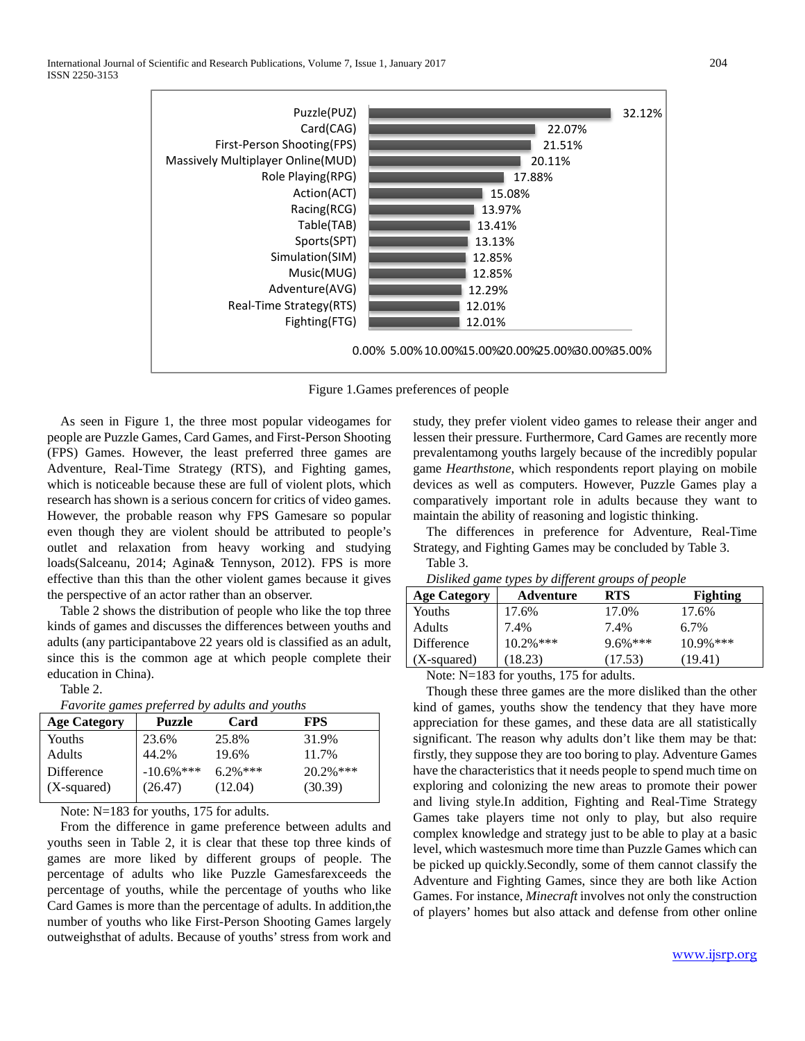

Figure 1.Games preferences of people

As seen in Figure 1, the three most popular videogames for people are Puzzle Games, Card Games, and First-Person Shooting (FPS) Games. However, the least preferred three games are Adventure, Real-Time Strategy (RTS), and Fighting games, which is noticeable because these are full of violent plots, which research has shown is a serious concern for critics of video games. However, the probable reason why FPS Gamesare so popular even though they are violent should be attributed to people's outlet and relaxation from heavy working and studying loads(Salceanu, 2014; Agina& Tennyson, 2012). FPS is more effective than this than the other violent games because it gives the perspective of an actor rather than an observer.

Table 2 shows the distribution of people who like the top three kinds of games and discusses the differences between youths and adults (any participantabove 22 years old is classified as an adult, since this is the common age at which people complete their education in China).

Table 2.

| Favorite games preferred by adults and youths |  |  |  |
|-----------------------------------------------|--|--|--|
|-----------------------------------------------|--|--|--|

| <b>Age Category</b> | <b>Puzzle</b> | Card       | <b>FPS</b>   |
|---------------------|---------------|------------|--------------|
| Youths              | 23.6%         | 25.8%      | 31.9%        |
| Adults              | 44.2%         | 19.6%      | 11.7%        |
| Difference          | $-10.6\%$ *** | $6.2\%***$ | $20.2\%$ *** |
| (X-squared)         | (26.47)       | (12.04)    | (30.39)      |
|                     |               |            |              |

Note: N=183 for youths, 175 for adults.

From the difference in game preference between adults and youths seen in Table 2, it is clear that these top three kinds of games are more liked by different groups of people. The percentage of adults who like Puzzle Gamesfarexceeds the percentage of youths, while the percentage of youths who like Card Games is more than the percentage of adults. In addition,the number of youths who like First-Person Shooting Games largely outweighsthat of adults. Because of youths' stress from work and study, they prefer violent video games to release their anger and lessen their pressure. Furthermore, Card Games are recently more prevalentamong youths largely because of the incredibly popular game *Hearthstone*, which respondents report playing on mobile devices as well as computers. However, Puzzle Games play a comparatively important role in adults because they want to maintain the ability of reasoning and logistic thinking.

The differences in preference for Adventure, Real-Time Strategy, and Fighting Games may be concluded by Table 3.

Table 3.

(X-squared)

|                     | Distinct game types by afferent groups of people |            |                 |  |  |
|---------------------|--------------------------------------------------|------------|-----------------|--|--|
| <b>Age Category</b> | Adventure                                        | RTS        | <b>Fighting</b> |  |  |
| Youths              | 17.6%                                            | 17.0%      | 17.6%           |  |  |
| <b>Adults</b>       | 7.4%                                             | 7.4%       | $6.7\%$         |  |  |
| Difference          | $10.2\%***$                                      | $9.6\%***$ | $10.9\%$ ***    |  |  |

(17.53)

*Disliked game types by different groups of people*

Note: N=183 for youths, 175 for adults.

(18.23)

Though these three games are the more disliked than the other kind of games, youths show the tendency that they have more appreciation for these games, and these data are all statistically significant. The reason why adults don't like them may be that: firstly, they suppose they are too boring to play. Adventure Games have the characteristics that it needs people to spend much time on exploring and colonizing the new areas to promote their power and living style.In addition, Fighting and Real-Time Strategy Games take players time not only to play, but also require complex knowledge and strategy just to be able to play at a basic level, which wastesmuch more time than Puzzle Games which can be picked up quickly.Secondly, some of them cannot classify the Adventure and Fighting Games, since they are both like Action Games. For instance, *Minecraft* involves not only the construction of players' homes but also attack and defense from other online

(19.41)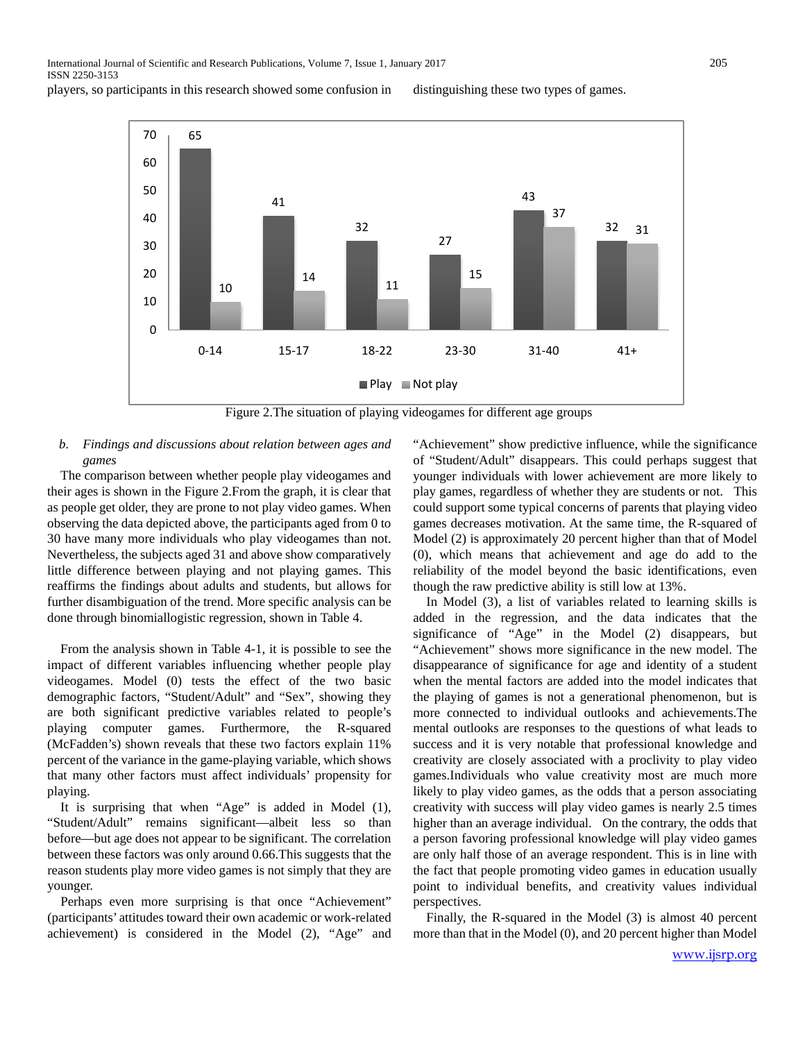International Journal of Scientific and Research Publications, Volume 7, Issue 1, January 2017 205 ISSN 2250-3153

players, so participants in this research showed some confusion in distinguishing these two types of games.



Figure 2.The situation of playing videogames for different age groups

# *b. Findings and discussions about relation between ages and games*

The comparison between whether people play videogames and their ages is shown in the Figure 2.From the graph, it is clear that as people get older, they are prone to not play video games. When observing the data depicted above, the participants aged from 0 to 30 have many more individuals who play videogames than not. Nevertheless, the subjects aged 31 and above show comparatively little difference between playing and not playing games. This reaffirms the findings about adults and students, but allows for further disambiguation of the trend. More specific analysis can be done through binomiallogistic regression, shown in Table 4.

From the analysis shown in Table 4-1, it is possible to see the impact of different variables influencing whether people play videogames. Model (0) tests the effect of the two basic demographic factors, "Student/Adult" and "Sex", showing they are both significant predictive variables related to people's playing computer games. Furthermore, the R-squared (McFadden's) shown reveals that these two factors explain 11% percent of the variance in the game-playing variable, which shows that many other factors must affect individuals' propensity for playing.

It is surprising that when "Age" is added in Model (1), "Student/Adult" remains significant—albeit less so than before—but age does not appear to be significant. The correlation between these factors was only around 0.66.This suggests that the reason students play more video games is not simply that they are younger.

Perhaps even more surprising is that once "Achievement" (participants' attitudes toward their own academic or work-related achievement) is considered in the Model (2), "Age" and "Achievement" show predictive influence, while the significance of "Student/Adult" disappears. This could perhaps suggest that younger individuals with lower achievement are more likely to play games, regardless of whether they are students or not. This could support some typical concerns of parents that playing video games decreases motivation. At the same time, the R-squared of Model (2) is approximately 20 percent higher than that of Model (0), which means that achievement and age do add to the reliability of the model beyond the basic identifications, even though the raw predictive ability is still low at 13%.

In Model (3), a list of variables related to learning skills is added in the regression, and the data indicates that the significance of "Age" in the Model (2) disappears, but "Achievement" shows more significance in the new model. The disappearance of significance for age and identity of a student when the mental factors are added into the model indicates that the playing of games is not a generational phenomenon, but is more connected to individual outlooks and achievements.The mental outlooks are responses to the questions of what leads to success and it is very notable that professional knowledge and creativity are closely associated with a proclivity to play video games.Individuals who value creativity most are much more likely to play video games, as the odds that a person associating creativity with success will play video games is nearly 2.5 times higher than an average individual. On the contrary, the odds that a person favoring professional knowledge will play video games are only half those of an average respondent. This is in line with the fact that people promoting video games in education usually point to individual benefits, and creativity values individual perspectives.

Finally, the R-squared in the Model (3) is almost 40 percent more than that in the Model (0), and 20 percent higher than Model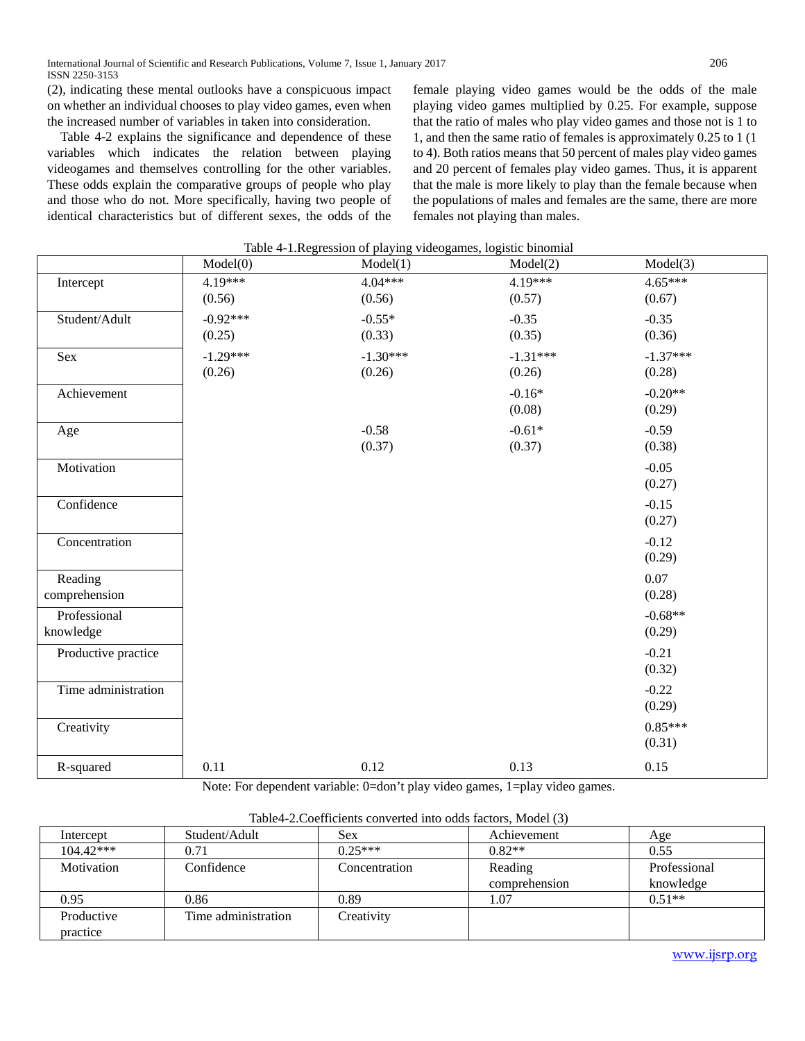(2), indicating these mental outlooks have a conspicuous impact on whether an individual chooses to play video games, even when the increased number of variables in taken into consideration.

Table 4-2 explains the significance and dependence of these variables which indicates the relation between playing videogames and themselves controlling for the other variables. These odds explain the comparative groups of people who play and those who do not. More specifically, having two people of identical characteristics but of different sexes, the odds of the

female playing video games would be the odds of the male playing video games multiplied by 0.25. For example, suppose that the ratio of males who play video games and those not is 1 to 1, and then the same ratio of females is approximately 0.25 to 1 (1 to 4). Both ratios means that 50 percent of males play video games and 20 percent of females play video games. Thus, it is apparent that the male is more likely to play than the female because when the populations of males and females are the same, there are more females not playing than males.

|                     | Model(0)   | Model(1)   | Model(2)   | Model(3)   |
|---------------------|------------|------------|------------|------------|
| Intercept           | 4.19***    | $4.04***$  | 4.19***    | $4.65***$  |
|                     | (0.56)     | (0.56)     | (0.57)     | (0.67)     |
| Student/Adult       | $-0.92***$ | $-0.55*$   | $-0.35$    | $-0.35$    |
|                     | (0.25)     | (0.33)     | (0.35)     | (0.36)     |
| Sex                 | $-1.29***$ | $-1.30***$ | $-1.31***$ | $-1.37***$ |
|                     | (0.26)     | (0.26)     | (0.26)     | (0.28)     |
| Achievement         |            |            | $-0.16*$   | $-0.20**$  |
|                     |            |            | (0.08)     | (0.29)     |
| Age                 |            | $-0.58$    | $-0.61*$   | $-0.59$    |
|                     |            | (0.37)     | (0.37)     | (0.38)     |
| Motivation          |            |            |            | $-0.05$    |
|                     |            |            |            | (0.27)     |
| Confidence          |            |            |            | $-0.15$    |
|                     |            |            |            | (0.27)     |
| Concentration       |            |            |            | $-0.12$    |
|                     |            |            |            | (0.29)     |
| Reading             |            |            |            | 0.07       |
| comprehension       |            |            |            | (0.28)     |
| Professional        |            |            |            | $-0.68**$  |
| knowledge           |            |            |            | (0.29)     |
| Productive practice |            |            |            | $-0.21$    |
|                     |            |            |            | (0.32)     |
| Time administration |            |            |            | $-0.22$    |
|                     |            |            |            | (0.29)     |
| Creativity          |            |            |            | $0.85***$  |
|                     |            |            |            | (0.31)     |
| R-squared           | 0.11       | 0.12       | 0.13       | 0.15       |

| Table 4-1. Regression of playing videogames, logistic binomial |  |  |
|----------------------------------------------------------------|--|--|
|                                                                |  |  |
|                                                                |  |  |

Note: For dependent variable: 0=don't play video games, 1=play video games.

| Table4-2. Coefficients converted into odds factors, Model (3) |  |  |
|---------------------------------------------------------------|--|--|
|                                                               |  |  |

|                        | Tuote i progettiento con reflexi into guao fuelono, higael (57 |               |               |              |  |
|------------------------|----------------------------------------------------------------|---------------|---------------|--------------|--|
| Intercept              | Student/Adult                                                  | Sex           | Achievement   | Age          |  |
| $104.42***$            | 0.71                                                           | $0.25***$     | $0.82**$      | 0.55         |  |
| Motivation             | Confidence                                                     | Concentration | Reading       | Professional |  |
|                        |                                                                |               | comprehension | knowledge    |  |
| 0.95                   | 0.86                                                           | 0.89          | 1.07          | $0.51**$     |  |
| Productive<br>practice | Time administration                                            | Creativity    |               |              |  |

[www.ijsrp.org](http://ijsrp.org/)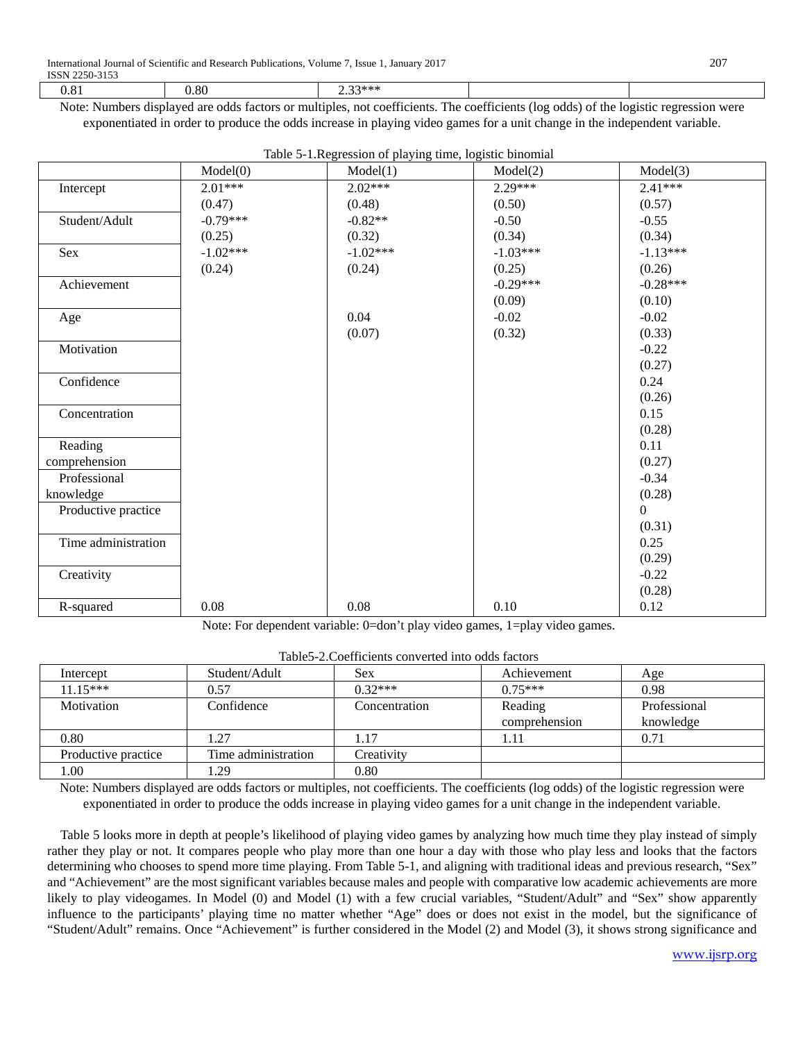| or<br>.oc | $-1.1.1.1$<br> |                                                                                                                                                                                                                                                                                                  |  |
|-----------|----------------|--------------------------------------------------------------------------------------------------------------------------------------------------------------------------------------------------------------------------------------------------------------------------------------------------|--|
|           |                | $\mathbf{M}$ , and $\mathbf{M}$ , and $\mathbf{M}$ , and $\mathbf{M}$ , $\mathbf{C}$ , and $\mathbf{M}$ , and $\mathbf{M}$ , and $\mathbf{C}$ , and $\mathbf{C}$ , and $\mathbf{M}$ , and $\mathbf{M}$ , $\mathbf{M}$ , $\mathbf{M}$ , $\mathbf{M}$ , $\mathbf{M}$ , $\mathbf{M}$ , $\mathbf{M}$ |  |

Note: Numbers displayed are odds factors or multiples, not coefficients. The coefficients (log odds) of the logistic regression were exponentiated in order to produce the odds increase in playing video games for a unit change in the independent variable.

|                     | Model(0)   | raore 5 T.Regression of playing time, togistic omomini<br>Model(1) | Model(2)   | Model(3)   |
|---------------------|------------|--------------------------------------------------------------------|------------|------------|
| Intercept           | $2.01***$  | $2.02***$                                                          | $2.29***$  | $2.41***$  |
|                     | (0.47)     | (0.48)                                                             | (0.50)     | (0.57)     |
| Student/Adult       | $-0.79***$ | $-0.82**$                                                          | $-0.50$    | $-0.55$    |
|                     | (0.25)     | (0.32)                                                             | (0.34)     | (0.34)     |
| Sex                 | $-1.02***$ | $-1.02***$                                                         | $-1.03***$ | $-1.13***$ |
|                     | (0.24)     | (0.24)                                                             | (0.25)     | (0.26)     |
| Achievement         |            |                                                                    | $-0.29***$ | $-0.28***$ |
|                     |            |                                                                    | (0.09)     | (0.10)     |
| Age                 |            | 0.04                                                               | $-0.02$    | $-0.02$    |
|                     |            | (0.07)                                                             | (0.32)     | (0.33)     |
| Motivation          |            |                                                                    |            | $-0.22$    |
|                     |            |                                                                    |            | (0.27)     |
| Confidence          |            |                                                                    |            | 0.24       |
|                     |            |                                                                    |            | (0.26)     |
| Concentration       |            |                                                                    |            | 0.15       |
|                     |            |                                                                    |            | (0.28)     |
| Reading             |            |                                                                    |            | 0.11       |
| comprehension       |            |                                                                    |            | (0.27)     |
| Professional        |            |                                                                    |            | $-0.34$    |
| knowledge           |            |                                                                    |            | (0.28)     |
| Productive practice |            |                                                                    |            | $\theta$   |
|                     |            |                                                                    |            | (0.31)     |
| Time administration |            |                                                                    |            | 0.25       |
|                     |            |                                                                    |            | (0.29)     |
| Creativity          |            |                                                                    |            | $-0.22$    |
|                     |            |                                                                    |            | (0.28)     |
| R-squared           | 0.08       | $0.08\,$                                                           | 0.10       | 0.12       |

Table 5-1.Regression of playing time, logistic binomial

Note: For dependent variable: 0=don't play video games, 1=play video games.

| Intercept           | Student/Adult       | Sex           | Achievement   | Age          |
|---------------------|---------------------|---------------|---------------|--------------|
| $11.15***$          | 0.57                | $0.32***$     | $0.75***$     | 0.98         |
| Motivation          | Confidence          | Concentration | Reading       | Professional |
|                     |                     |               | comprehension | knowledge    |
| 0.80                | 1.27                | 1.17          | 1.11          | 0.71         |
| Productive practice | Time administration | Creativity    |               |              |
| 00.1                | . 29                | 0.80          |               |              |

Note: Numbers displayed are odds factors or multiples, not coefficients. The coefficients (log odds) of the logistic regression were exponentiated in order to produce the odds increase in playing video games for a unit change in the independent variable.

Table 5 looks more in depth at people's likelihood of playing video games by analyzing how much time they play instead of simply rather they play or not. It compares people who play more than one hour a day with those who play less and looks that the factors determining who chooses to spend more time playing. From Table 5-1, and aligning with traditional ideas and previous research, "Sex" and "Achievement" are the most significant variables because males and people with comparative low academic achievements are more likely to play videogames. In Model (0) and Model (1) with a few crucial variables, "Student/Adult" and "Sex" show apparently influence to the participants' playing time no matter whether "Age" does or does not exist in the model, but the significance of "Student/Adult" remains. Once "Achievement" is further considered in the Model (2) and Model (3), it shows strong significance and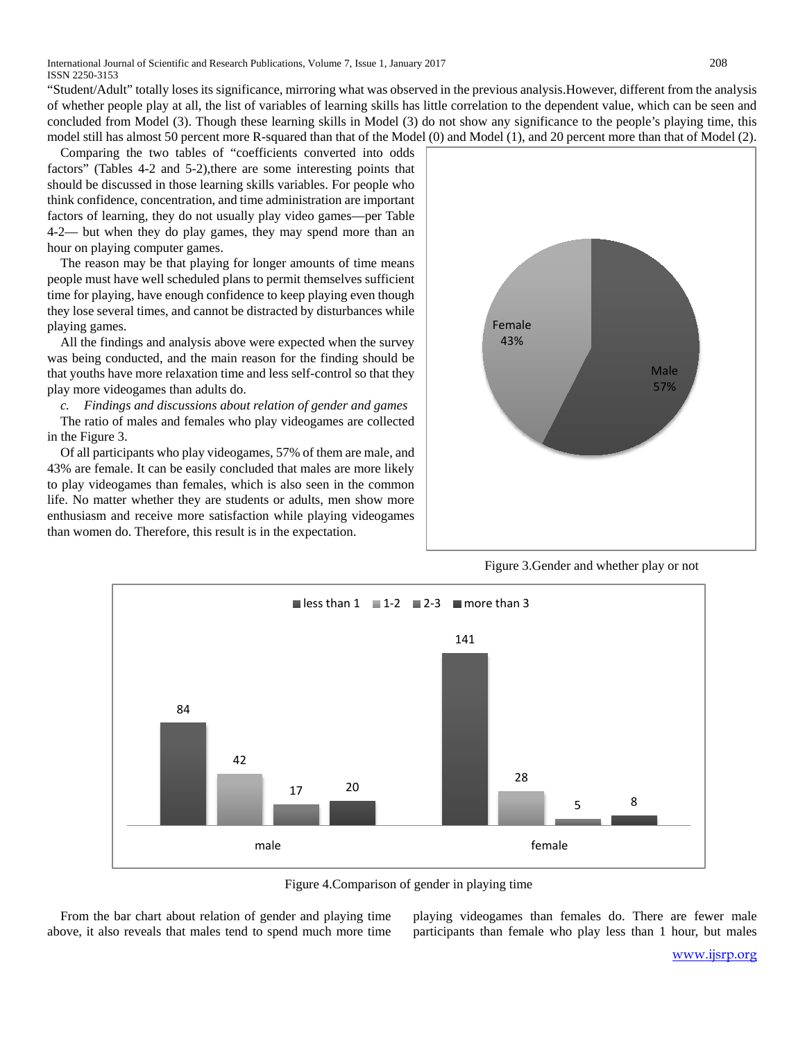International Journal of Scientific and Research Publications, Volume 7, Issue 1, January 2017 208 ISSN 2250-3153

"Student/Adult" totally loses its significance, mirroring what was observed in the previous analysis.However, different from the analysis of whether people play at all, the list of variables of learning skills has little correlation to the dependent value, which can be seen and concluded from Model (3). Though these learning skills in Model (3) do not show any significance to the people's playing time, this model still has almost 50 percent more R-squared than that of the Model (0) and Model (1), and 20 percent more than that of Model (2).

Comparing the two tables of "coefficients converted into odds factors" (Tables 4-2 and 5-2), there are some interesting points that should be discussed in those learning skills variables. For people who think confidence, concentration, and time administration are important factors of learning, they do not usually play video games—per Table 4-2— but when they do play games, they may spend more than an hour on playing computer games.

The reason may be that playing for longer amounts of time means people must have well scheduled plans to permit themselves sufficient time for playing, have enough confidence to keep playing even though they lose several times, and cannot be distracted by disturbances while playing games.

All the findings and analysis above were expected when the survey was being conducted, and the main reason for the finding should be that youths have more relaxation time and less self-control so that they play more videogames than adults do.

*c. Findings and discussions about relation of gender and games*

The ratio of males and females who play videogames are collected in the Figure 3.

Of all participants who play videogames, 57% of them are male, and 43% are female. It can be easily concluded that males are more likely to play videogames than females, which is also seen in the common life. No matter whether they are students or adults, men show more enthusiasm and receive more satisfaction while playing videogames than women do. Therefore, this result is in the expectation.



Figure 3.Gender and whether play or not



Figure 4.Comparison of gender in playing time

From the bar chart about relation of gender and playing time above, it also reveals that males tend to spend much more time playing videogames than females do. There are fewer male participants than female who play less than 1 hour, but males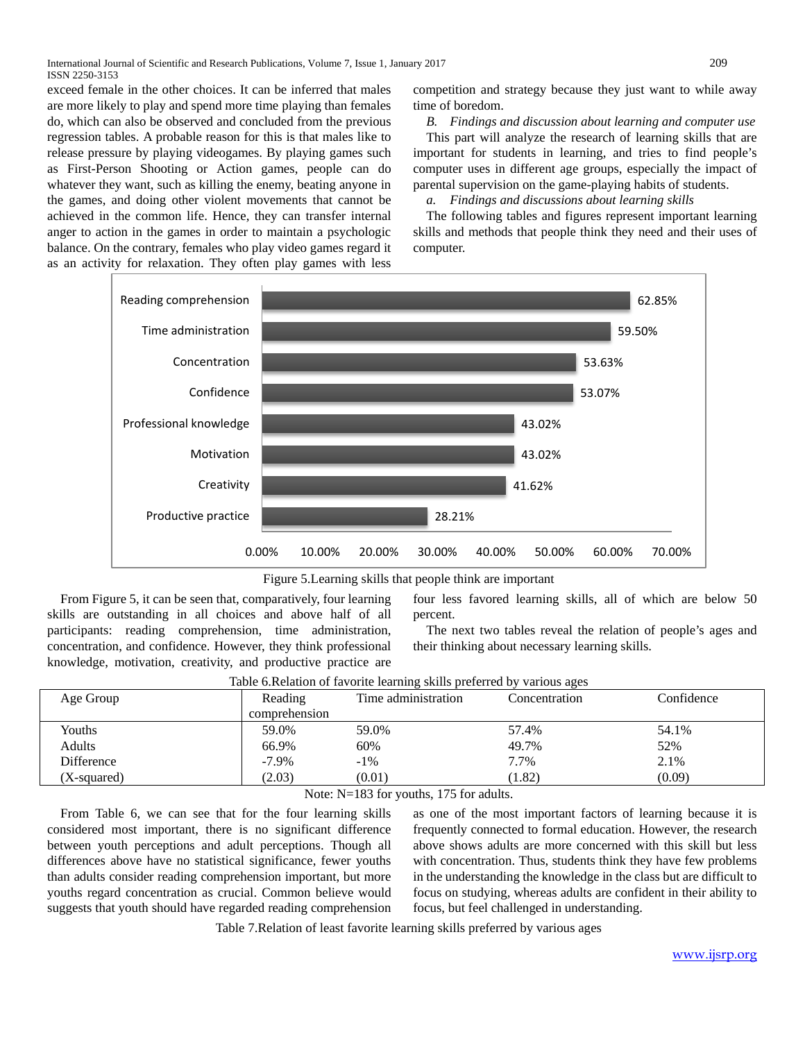International Journal of Scientific and Research Publications, Volume 7, Issue 1, January 2017 209 ISSN 2250-3153

exceed female in the other choices. It can be inferred that males are more likely to play and spend more time playing than females do, which can also be observed and concluded from the previous regression tables. A probable reason for this is that males like to release pressure by playing videogames. By playing games such as First-Person Shooting or Action games, people can do whatever they want, such as killing the enemy, beating anyone in the games, and doing other violent movements that cannot be achieved in the common life. Hence, they can transfer internal anger to action in the games in order to maintain a psychologic balance. On the contrary, females who play video games regard it as an activity for relaxation. They often play games with less

competition and strategy because they just want to while away time of boredom.

*B. Findings and discussion about learning and computer use*

This part will analyze the research of learning skills that are important for students in learning, and tries to find people's computer uses in different age groups, especially the impact of parental supervision on the game-playing habits of students.

*a. Findings and discussions about learning skills*

The following tables and figures represent important learning skills and methods that people think they need and their uses of computer.



Figure 5.Learning skills that people think are important

From Figure 5, it can be seen that, comparatively, four learning skills are outstanding in all choices and above half of all participants: reading comprehension, time administration, concentration, and confidence. However, they think professional knowledge, motivation, creativity, and productive practice are

four less favored learning skills, all of which are below 50 percent.

The next two tables reveal the relation of people's ages and their thinking about necessary learning skills.

| Age Group   | Reading<br>comprehension                         | Time administration                                                   | Concentration | Confidence |
|-------------|--------------------------------------------------|-----------------------------------------------------------------------|---------------|------------|
| Youths      | 59.0%                                            | 59.0%                                                                 | 57.4%         | 54.1%      |
| Adults      | 66.9%                                            | 60%                                                                   | 49.7%         | 52%        |
| Difference  | $-7.9\%$                                         | $-1\%$                                                                | 7.7%          | 2.1%       |
| (X-squared) | (2.03)                                           | (0.01)                                                                | (1.82)        | (0.09)     |
|             | $\sim$ $\sim$ $\sim$ $\sim$ $\sim$ $\sim$ $\sim$ | $\rightarrow$ $\rightarrow$ $\rightarrow$ $\rightarrow$<br>. .<br>. . |               |            |

| Table 6. Relation of favorite learning skills preferred by various ages |  |  |  |  |
|-------------------------------------------------------------------------|--|--|--|--|
|                                                                         |  |  |  |  |

Note: N=183 for youths, 175 for adults.

From Table 6, we can see that for the four learning skills considered most important, there is no significant difference between youth perceptions and adult perceptions. Though all differences above have no statistical significance, fewer youths than adults consider reading comprehension important, but more youths regard concentration as crucial. Common believe would suggests that youth should have regarded reading comprehension

as one of the most important factors of learning because it is frequently connected to formal education. However, the research above shows adults are more concerned with this skill but less with concentration. Thus, students think they have few problems in the understanding the knowledge in the class but are difficult to focus on studying, whereas adults are confident in their ability to focus, but feel challenged in understanding.

Table 7.Relation of least favorite learning skills preferred by various ages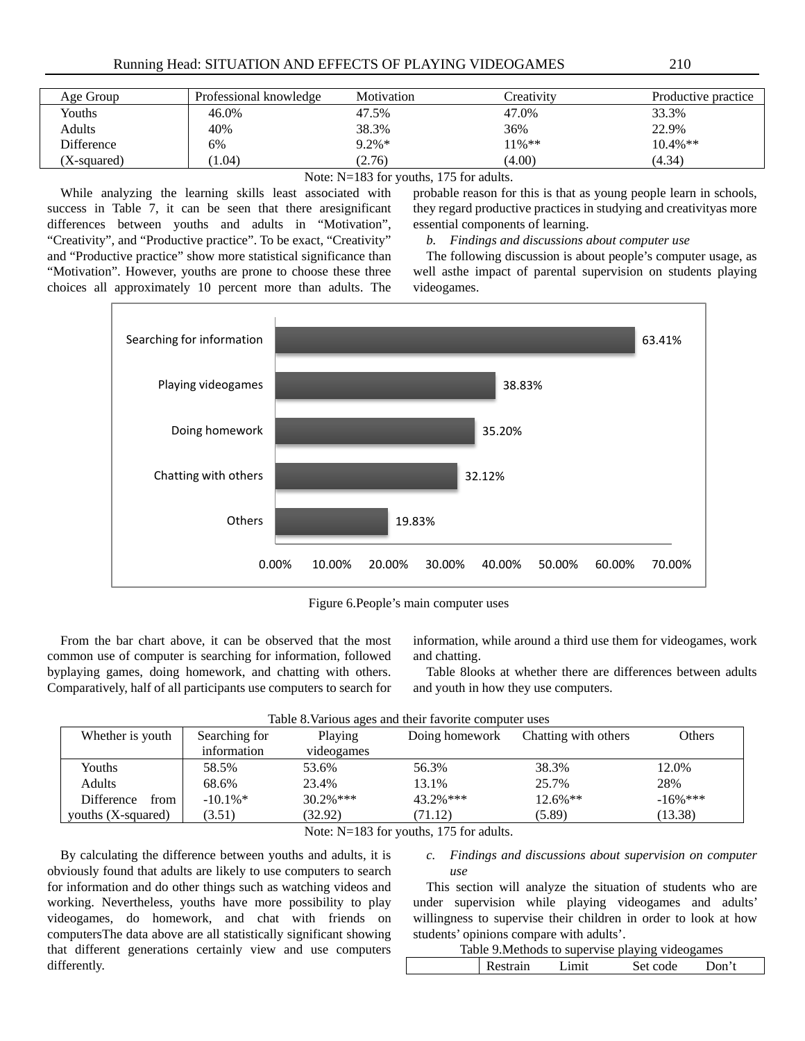| Age Group   | Professional knowledge | Motivation | Creativity | Productive practice |
|-------------|------------------------|------------|------------|---------------------|
| Youths      | 46.0%                  | 47.5%      | 47.0%      | 33.3%               |
| Adults      | 40%                    | 38.3%      | 36%        | 22.9%               |
| Difference  | 6%                     | $9.2\%*$   | $11\%**$   | $10.4\%$ **         |
| (X-squared) | $1.04^{\circ}$         | (2.76)     | (4.00)     | (4.34)              |

# Note: N=183 for youths, 175 for adults.

While analyzing the learning skills least associated with success in Table 7, it can be seen that there aresignificant differences between youths and adults in "Motivation", "Creativity", and "Productive practice". To be exact, "Creativity" and "Productive practice" show more statistical significance than "Motivation". However, youths are prone to choose these three choices all approximately 10 percent more than adults. The probable reason for this is that as young people learn in schools, they regard productive practices in studying and creativityas more essential components of learning.

# *b. Findings and discussions about computer use*

The following discussion is about people's computer usage, as well asthe impact of parental supervision on students playing videogames.



Figure 6.People's main computer uses

From the bar chart above, it can be observed that the most common use of computer is searching for information, followed byplaying games, doing homework, and chatting with others. Comparatively, half of all participants use computers to search for

information, while around a third use them for videogames, work and chatting.

Table 8looks at whether there are differences between adults and youth in how they use computers.

| Table 8. Various ages and their favorite computer uses |  |  |
|--------------------------------------------------------|--|--|
|                                                        |  |  |

| Whether is youth      | Searching for | Playing      | Doing homework | Chatting with others | Others      |
|-----------------------|---------------|--------------|----------------|----------------------|-------------|
|                       | information   | videogames   |                |                      |             |
| Youths                | 58.5%         | 53.6%        | 56.3%          | 38.3%                | 12.0%       |
| Adults                | 68.6%         | 23.4%        | 13.1%          | 25.7%                | 28%         |
| Difference<br>from    | $-10.1\%$     | $30.2\%$ *** | $43.2\%$ ***   | $12.6\%$ **          | $-16\%$ *** |
| vouths $(X$ -squared) | (3.51)        | (32.92)      | 71.12)         | (5.89)               | (13.38)     |

#### Note: N=183 for youths, 175 for adults.

By calculating the difference between youths and adults, it is obviously found that adults are likely to use computers to search for information and do other things such as watching videos and working. Nevertheless, youths have more possibility to play videogames, do homework, and chat with friends on computersThe data above are all statistically significant showing that different generations certainly view and use computers differently.

*c. Findings and discussions about supervision on computer use*

This section will analyze the situation of students who are under supervision while playing videogames and adults' willingness to supervise their children in order to look at how students' opinions compare with adults'.

|          |       | Table 9. Methods to supervise playing videogames |       |  |
|----------|-------|--------------------------------------------------|-------|--|
| Restrain | Limit | Set code                                         | Don't |  |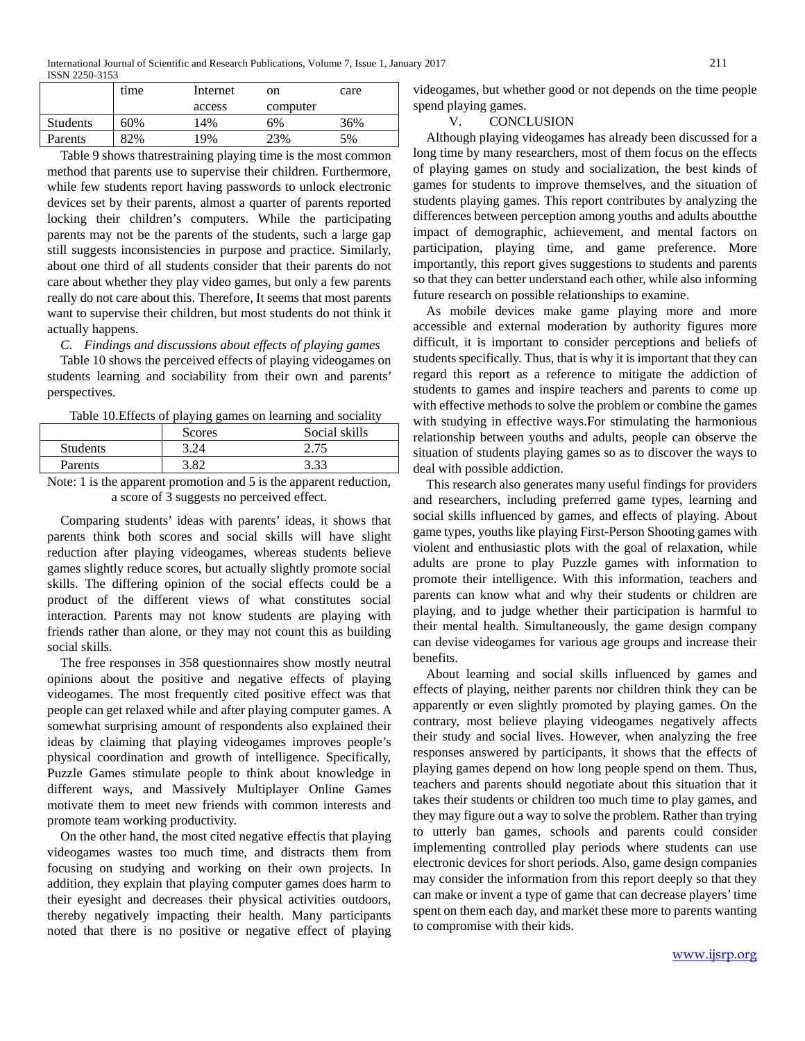|                 | time | Internet | on       | care |
|-----------------|------|----------|----------|------|
|                 |      | access   | computer |      |
| <b>Students</b> | 60%  | 14%      | 6%       | 36%  |
| Parents         | 82%  | 19%      | 23%      | 5%   |

Table 9 shows thatrestraining playing time is the most common method that parents use to supervise their children. Furthermore, while few students report having passwords to unlock electronic devices set by their parents, almost a quarter of parents reported locking their children's computers. While the participating parents may not be the parents of the students, such a large gap still suggests inconsistencies in purpose and practice. Similarly, about one third of all students consider that their parents do not care about whether they play video games, but only a few parents really do not care about this. Therefore, It seems that most parents want to supervise their children, but most students do not think it actually happens.

*C. Findings and discussions about effects of playing games*

Table 10 shows the perceived effects of playing videogames on students learning and sociability from their own and parents' perspectives.

| Table 10. Effects of playing games on learning and sociality |  |  |  |  |
|--------------------------------------------------------------|--|--|--|--|
|--------------------------------------------------------------|--|--|--|--|

|                 | Scores | Social skills |
|-----------------|--------|---------------|
| <b>Students</b> | 3.24   | 2.75          |
| Parents         | 382    | 3.33          |
| .               |        | .             |

Note: 1 is the apparent promotion and 5 is the apparent reduction, a score of 3 suggests no perceived effect.

Comparing students' ideas with parents' ideas, it shows that parents think both scores and social skills will have slight reduction after playing videogames, whereas students believe games slightly reduce scores, but actually slightly promote social skills. The differing opinion of the social effects could be a product of the different views of what constitutes social interaction. Parents may not know students are playing with friends rather than alone, or they may not count this as building social skills.

The free responses in 358 questionnaires show mostly neutral opinions about the positive and negative effects of playing videogames. The most frequently cited positive effect was that people can get relaxed while and after playing computer games. A somewhat surprising amount of respondents also explained their ideas by claiming that playing videogames improves people's physical coordination and growth of intelligence. Specifically, Puzzle Games stimulate people to think about knowledge in different ways, and Massively Multiplayer Online Games motivate them to meet new friends with common interests and promote team working productivity.

On the other hand, the most cited negative effectis that playing videogames wastes too much time, and distracts them from focusing on studying and working on their own projects. In addition, they explain that playing computer games does harm to their eyesight and decreases their physical activities outdoors, thereby negatively impacting their health. Many participants noted that there is no positive or negative effect of playing videogames, but whether good or not depends on the time people spend playing games.

V. CONCLUSION

Although playing videogames has already been discussed for a long time by many researchers, most of them focus on the effects of playing games on study and socialization, the best kinds of games for students to improve themselves, and the situation of students playing games. This report contributes by analyzing the differences between perception among youths and adults aboutthe impact of demographic, achievement, and mental factors on participation, playing time, and game preference. More importantly, this report gives suggestions to students and parents so that they can better understand each other, while also informing future research on possible relationships to examine.

As mobile devices make game playing more and more accessible and external moderation by authority figures more difficult, it is important to consider perceptions and beliefs of students specifically. Thus, that is why it is important that they can regard this report as a reference to mitigate the addiction of students to games and inspire teachers and parents to come up with effective methods to solve the problem or combine the games with studying in effective ways.For stimulating the harmonious relationship between youths and adults, people can observe the situation of students playing games so as to discover the ways to deal with possible addiction.

This research also generates many useful findings for providers and researchers, including preferred game types, learning and social skills influenced by games, and effects of playing. About game types, youths like playing First-Person Shooting games with violent and enthusiastic plots with the goal of relaxation, while adults are prone to play Puzzle games with information to promote their intelligence. With this information, teachers and parents can know what and why their students or children are playing, and to judge whether their participation is harmful to their mental health. Simultaneously, the game design company can devise videogames for various age groups and increase their benefits.

About learning and social skills influenced by games and effects of playing, neither parents nor children think they can be apparently or even slightly promoted by playing games. On the contrary, most believe playing videogames negatively affects their study and social lives. However, when analyzing the free responses answered by participants, it shows that the effects of playing games depend on how long people spend on them. Thus, teachers and parents should negotiate about this situation that it takes their students or children too much time to play games, and they may figure out a way to solve the problem. Rather than trying to utterly ban games, schools and parents could consider implementing controlled play periods where students can use electronic devices for short periods. Also, game design companies may consider the information from this report deeply so that they can make or invent a type of game that can decrease players' time spent on them each day, and market these more to parents wanting to compromise with their kids.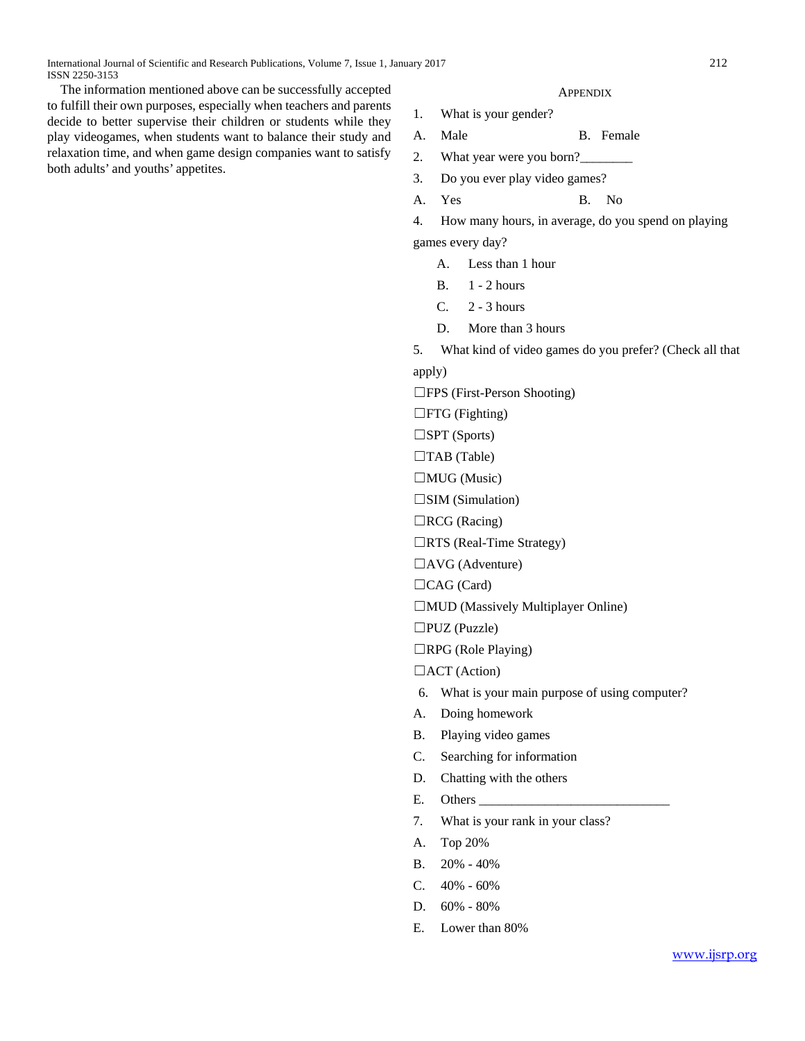The information mentioned above can be successfully accepted to fulfill their own purposes, especially when teachers and parents decide to better supervise their children or students while they play videogames, when students want to balance their study and relaxation time, and when game design companies want to satisfy both adults' and youths' appetites.

#### **APPENDIX**

- 1. What is your gender?
- A. Male B. Female
- 2. What year were you born?
- 3. Do you ever play video games?
- A. Yes B. No

4. How many hours, in average, do you spend on playing

games every day?

- A. Less than 1 hour
- B. 1 2 hours
- $C. 2 3 hours$
- D. More than 3 hours
- 5. What kind of video games do you prefer? (Check all that

apply)

☐FPS (First-Person Shooting)

□FTG (Fighting)

 $\square$ SPT (Sports)

 $\Box$ TAB (Table)

□MUG (Music)

 $\square$ SIM (Simulation)

- □RCG (Racing)
- □RTS (Real-Time Strategy)
- □AVG (Adventure)
- $\Box$ CAG (Card)
- ☐MUD (Massively Multiplayer Online)

☐PUZ (Puzzle)

 $\Box$ RPG (Role Playing)

□ACT (Action)

- 6. What is your main purpose of using computer?
- A. Doing homework
- B. Playing video games
- C. Searching for information
- D. Chatting with the others
- E. Others
- 7. What is your rank in your class?
- A. Top 20%
- B. 20% 40%
- C.  $40\% 60\%$
- D. 60% 80%
- E. Lower than 80%

[www.ijsrp.org](http://ijsrp.org/)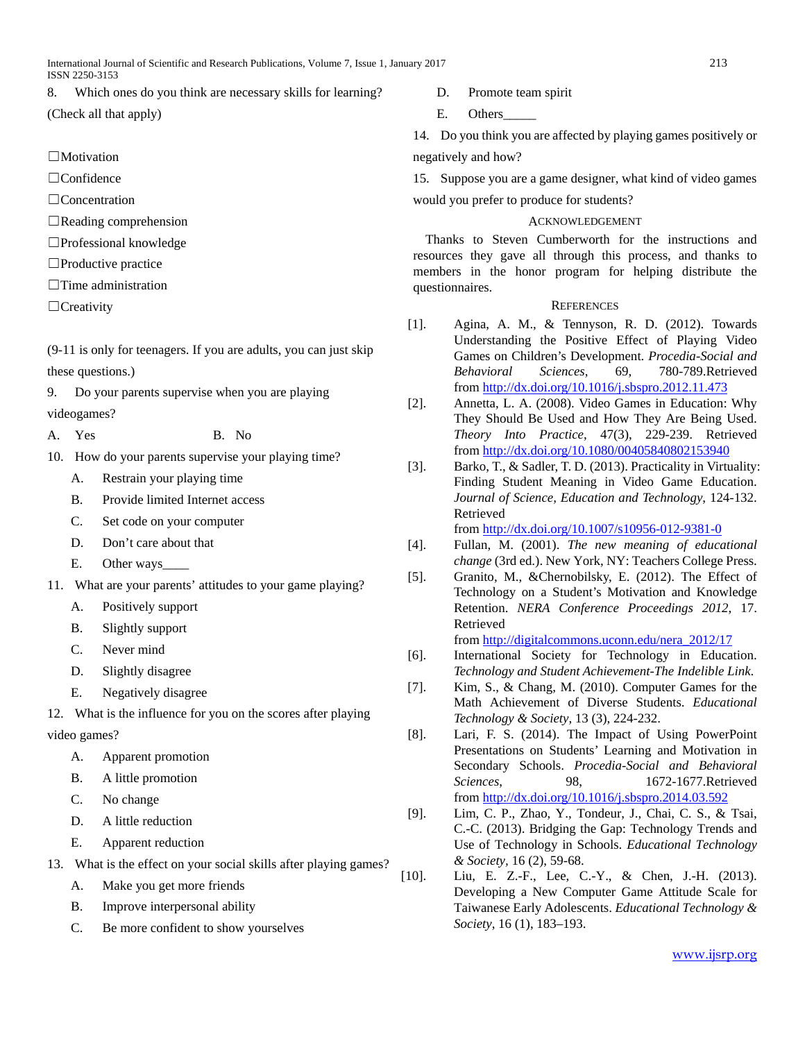International Journal of Scientific and Research Publications, Volume 7, Issue 1, January 2017 213 ISSN 2250-3153

8. Which ones do you think are necessary skills for learning?

(Check all that apply)

- $\Box$ Motivation
- ☐Confidence
- ☐Concentration
- $\Box$ Reading comprehension
- ☐Professional knowledge
- ☐Productive practice
- ☐Time administration
- ☐Creativity

(9-11 is only for teenagers. If you are adults, you can just skip these questions.)

- 9. Do your parents supervise when you are playing videogames?
- A. Yes B. No
- 10. How do your parents supervise your playing time?
	- A. Restrain your playing time
	- B. Provide limited Internet access
	- C. Set code on your computer
	- D. Don't care about that
	- E. Other ways
- 11. What are your parents' attitudes to your game playing?
	- A. Positively support
	- B. Slightly support
	- C. Never mind
	- D. Slightly disagree
	- E. Negatively disagree
- 12. What is the influence for you on the scores after playing

# video games?

- A. Apparent promotion
- B. A little promotion
- C. No change
- D. A little reduction
- E. Apparent reduction
- 13. What is the effect on your social skills after playing games?
	- A. Make you get more friends
	- B. Improve interpersonal ability
	- C. Be more confident to show yourselves
- D. Promote team spirit
- E. Others
- 14. Do you think you are affected by playing games positively or negatively and how?

15. Suppose you are a game designer, what kind of video games would you prefer to produce for students?

# ACKNOWLEDGEMENT

Thanks to Steven Cumberworth for the instructions and resources they gave all through this process, and thanks to members in the honor program for helping distribute the questionnaires.

# **REFERENCES**

- [1]. Agina, A. M., & Tennyson, R. D. (2012). Towards Understanding the Positive Effect of Playing Video Games on Children's Development. *Procedia-Social and Behavioral Sciences*, 69, 780-789.Retrieved from [http://dx.doi.org/10.1016/j.sbspro.2012.11.473](http://dx.doi.org/10.1016%20/j.sbspro.2012.11.473)
- [2]. Annetta, L. A. (2008). Video Games in Education: Why They Should Be Used and How They Are Being Used. *Theory Into Practice*, 47(3), 229-239. Retrieved from<http://dx.doi.org/10.1080/00405840802153940>
- [3]. Barko, T., & Sadler, T. D. (2013). Practicality in Virtuality: Finding Student Meaning in Video Game Education. *Journal of Science, Education and Technology*, 124-132. Retrieved

from<http://dx.doi.org/10.1007/s10956-012-9381-0>

- [4]. Fullan, M. (2001). *The new meaning of educational change* (3rd ed.). New York, NY: Teachers College Press.
- [5]. Granito, M., &Chernobilsky, E. (2012). The Effect of Technology on a Student's Motivation and Knowledge Retention. *NERA Conference Proceedings 2012*, 17. Retrieved

from [http://digitalcommons.uconn.edu/nera\\_2012/17](http://digitalcommons.uconn.edu/nera_2012/17)

- [6]. International Society for Technology in Education. *Technology and Student Achievement-The Indelible Link*.
- [7]. Kim, S., & Chang, M. (2010). Computer Games for the Math Achievement of Diverse Students. *Educational Technology & Society*, 13 (3), 224-232.
- [8]. Lari, F. S. (2014). The Impact of Using PowerPoint Presentations on Students' Learning and Motivation in Secondary Schools. *Procedia-Social and Behavioral Sciences*, 98, 1672-1677.Retrieved from<http://dx.doi.org/10.1016/j.sbspro.2014.03.592>
- [9]. Lim, C. P., Zhao, Y., Tondeur, J., Chai, C. S., & Tsai, C.-C. (2013). Bridging the Gap: Technology Trends and Use of Technology in Schools. *Educational Technology & Society,* 16 (2), 59-68.
- [10]. Liu, E. Z.-F., Lee, C.-Y., & Chen, J.-H. (2013). Developing a New Computer Game Attitude Scale for Taiwanese Early Adolescents. *Educational Technology & Society*, 16 (1), 183–193.